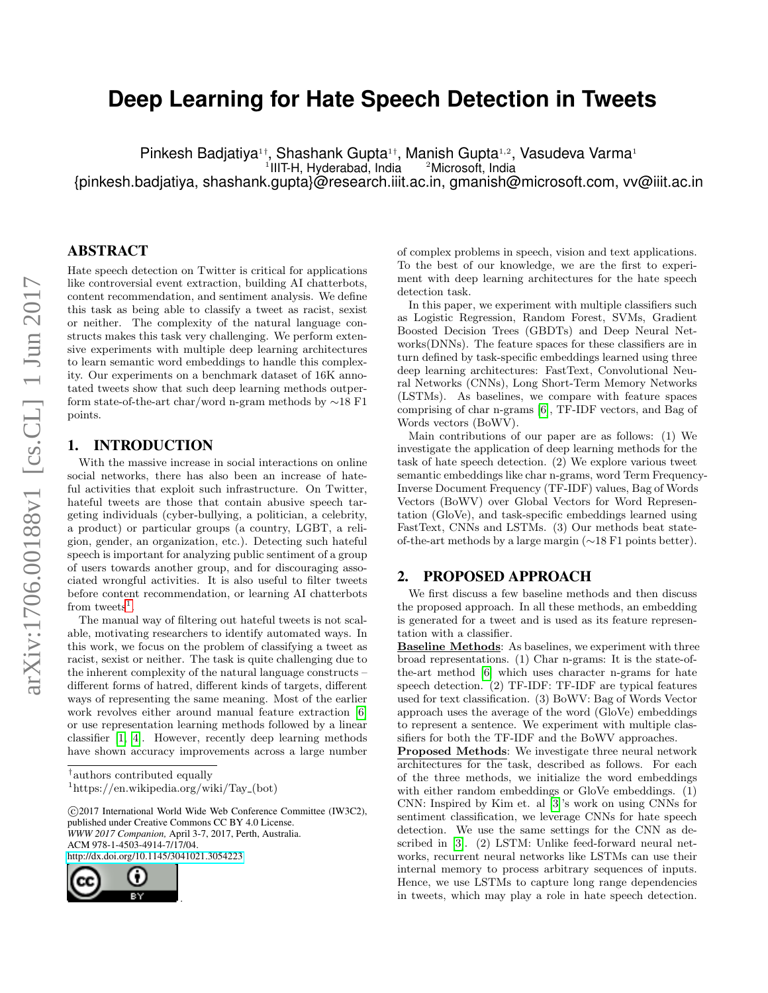# **Deep Learning for Hate Speech Detection in Tweets**

Pinkesh Badjatiya<sup>1†</sup>, Shashank Gupta<sup>1†</sup>, Manish Gupta<sup>1,2</sup>, Vasudeva Varma<sup>1</sup> <sup>1</sup>IIIT-H, Hyderabad, India <sup>2</sup>Microsoft, India {pinkesh.badjatiya, shashank.gupta}@research.iiit.ac.in, gmanish@microsoft.com, vv@iiit.ac.in

## ABSTRACT

Hate speech detection on Twitter is critical for applications like controversial event extraction, building AI chatterbots, content recommendation, and sentiment analysis. We define this task as being able to classify a tweet as racist, sexist or neither. The complexity of the natural language constructs makes this task very challenging. We perform extensive experiments with multiple deep learning architectures to learn semantic word embeddings to handle this complexity. Our experiments on a benchmark dataset of 16K annotated tweets show that such deep learning methods outperform state-of-the-art char/word n-gram methods by ∼18 F1 points.

#### 1. INTRODUCTION

With the massive increase in social interactions on online social networks, there has also been an increase of hateful activities that exploit such infrastructure. On Twitter, hateful tweets are those that contain abusive speech targeting individuals (cyber-bullying, a politician, a celebrity, a product) or particular groups (a country, LGBT, a religion, gender, an organization, etc.). Detecting such hateful speech is important for analyzing public sentiment of a group of users towards another group, and for discouraging associated wrongful activities. It is also useful to filter tweets before content recommendation, or learning AI chatterbots from tweets<sup>[1](#page-0-0)</sup>.

The manual way of filtering out hateful tweets is not scalable, motivating researchers to identify automated ways. In this work, we focus on the problem of classifying a tweet as racist, sexist or neither. The task is quite challenging due to the inherent complexity of the natural language constructs – different forms of hatred, different kinds of targets, different ways of representing the same meaning. Most of the earlier work revolves either around manual feature extraction [\[6\]](#page-1-0) or use representation learning methods followed by a linear classifier [\[1,](#page-1-1) [4\]](#page-1-2). However, recently deep learning methods have shown accuracy improvements across a large number

 c 2017 International World Wide Web Conference Committee (IW3C2), published under Creative Commons CC BY 4.0 License. *WWW 2017 Companion,* April 3-7, 2017, Perth, Australia. ACM 978-1-4503-4914-7/17/04. <http://dx.doi.org/10.1145/3041021.3054223>



of complex problems in speech, vision and text applications. To the best of our knowledge, we are the first to experiment with deep learning architectures for the hate speech detection task.

In this paper, we experiment with multiple classifiers such as Logistic Regression, Random Forest, SVMs, Gradient Boosted Decision Trees (GBDTs) and Deep Neural Networks(DNNs). The feature spaces for these classifiers are in turn defined by task-specific embeddings learned using three deep learning architectures: FastText, Convolutional Neural Networks (CNNs), Long Short-Term Memory Networks (LSTMs). As baselines, we compare with feature spaces comprising of char n-grams [\[6\]](#page-1-0), TF-IDF vectors, and Bag of Words vectors (BoWV).

Main contributions of our paper are as follows: (1) We investigate the application of deep learning methods for the task of hate speech detection. (2) We explore various tweet semantic embeddings like char n-grams, word Term Frequency-Inverse Document Frequency (TF-IDF) values, Bag of Words Vectors (BoWV) over Global Vectors for Word Representation (GloVe), and task-specific embeddings learned using FastText, CNNs and LSTMs. (3) Our methods beat stateof-the-art methods by a large margin (∼18 F1 points better).

#### 2. PROPOSED APPROACH

We first discuss a few baseline methods and then discuss the proposed approach. In all these methods, an embedding is generated for a tweet and is used as its feature representation with a classifier.

Baseline Methods: As baselines, we experiment with three broad representations. (1) Char n-grams: It is the state-ofthe-art method [\[6\]](#page-1-0) which uses character n-grams for hate speech detection. (2) TF-IDF: TF-IDF are typical features used for text classification. (3) BoWV: Bag of Words Vector approach uses the average of the word (GloVe) embeddings to represent a sentence. We experiment with multiple classifiers for both the TF-IDF and the BoWV approaches.

Proposed Methods: We investigate three neural network architectures for the task, described as follows. For each of the three methods, we initialize the word embeddings with either random embeddings or GloVe embeddings. (1) CNN: Inspired by Kim et. al [\[3\]](#page-1-3)'s work on using CNNs for sentiment classification, we leverage CNNs for hate speech detection. We use the same settings for the CNN as described in [\[3\]](#page-1-3). (2) LSTM: Unlike feed-forward neural networks, recurrent neural networks like LSTMs can use their internal memory to process arbitrary sequences of inputs. Hence, we use LSTMs to capture long range dependencies in tweets, which may play a role in hate speech detection.

<sup>†</sup> authors contributed equally

<span id="page-0-0"></span> $\mu$ <sup>1</sup>https://en.wikipedia.org/wiki/Tay\_(bot)